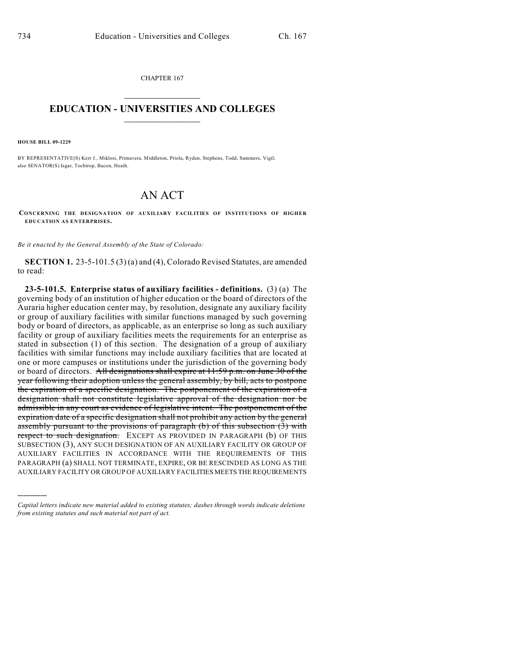CHAPTER 167  $\overline{\phantom{a}}$  . The set of the set of the set of the set of the set of the set of the set of the set of the set of the set of the set of the set of the set of the set of the set of the set of the set of the set of the set o

## **EDUCATION - UNIVERSITIES AND COLLEGES**  $\_$

**HOUSE BILL 09-1229**

)))))

BY REPRESENTATIVE(S) Kerr J., Miklosi, Primavera, Middleton, Priola, Ryden, Stephens, Todd, Summers, Vigil; also SENATOR(S) Isgar, Tochtrop, Bacon, Heath.

## AN ACT

**CONCERNING THE DESIGNATION OF AUXILIARY FACILITIES OF INSTITUTIONS OF HIGHER EDUCATION AS ENTERPRISES.**

*Be it enacted by the General Assembly of the State of Colorado:*

**SECTION 1.** 23-5-101.5 (3) (a) and (4), Colorado Revised Statutes, are amended to read:

**23-5-101.5. Enterprise status of auxiliary facilities - definitions.** (3) (a) The governing body of an institution of higher education or the board of directors of the Auraria higher education center may, by resolution, designate any auxiliary facility or group of auxiliary facilities with similar functions managed by such governing body or board of directors, as applicable, as an enterprise so long as such auxiliary facility or group of auxiliary facilities meets the requirements for an enterprise as stated in subsection (1) of this section. The designation of a group of auxiliary facilities with similar functions may include auxiliary facilities that are located at one or more campuses or institutions under the jurisdiction of the governing body or board of directors. All designations shall expire at 11:59 p.m. on June 30 of the year following their adoption unless the general assembly, by bill, acts to postpone the expiration of a specific designation. The postponement of the expiration of a designation shall not constitute legislative approval of the designation nor be admissible in any court as evidence of legislative intent. The postponement of the expiration date of a specific designation shall not prohibit any action by the general assembly pursuant to the provisions of paragraph (b) of this subsection (3) with respect to such designation. EXCEPT AS PROVIDED IN PARAGRAPH (b) OF THIS SUBSECTION (3), ANY SUCH DESIGNATION OF AN AUXILIARY FACILITY OR GROUP OF AUXILIARY FACILITIES IN ACCORDANCE WITH THE REQUIREMENTS OF THIS PARAGRAPH (a) SHALL NOT TERMINATE, EXPIRE, OR BE RESCINDED AS LONG AS THE AUXILIARY FACILITY OR GROUP OF AUXILIARY FACILITIES MEETS THE REQUIREMENTS

*Capital letters indicate new material added to existing statutes; dashes through words indicate deletions from existing statutes and such material not part of act.*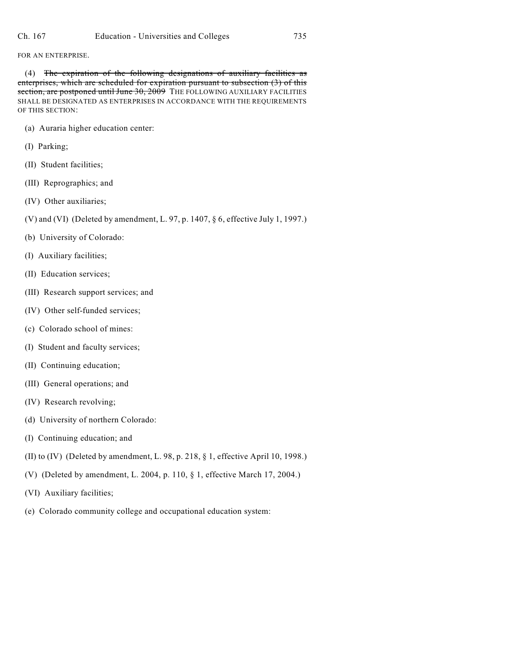## FOR AN ENTERPRISE.

(4) The expiration of the following designations of auxiliary facilities as enterprises, which are scheduled for expiration pursuant to subsection (3) of this section, are postponed until June 30, 2009 THE FOLLOWING AUXILIARY FACILITIES SHALL BE DESIGNATED AS ENTERPRISES IN ACCORDANCE WITH THE REQUIREMENTS OF THIS SECTION:

- (a) Auraria higher education center:
- (I) Parking;
- (II) Student facilities;
- (III) Reprographics; and
- (IV) Other auxiliaries;
- (V) and (VI) (Deleted by amendment, L. 97, p. 1407, § 6, effective July 1, 1997.)
- (b) University of Colorado:
- (I) Auxiliary facilities;
- (II) Education services;
- (III) Research support services; and
- (IV) Other self-funded services;
- (c) Colorado school of mines:
- (I) Student and faculty services;
- (II) Continuing education;
- (III) General operations; and
- (IV) Research revolving;
- (d) University of northern Colorado:
- (I) Continuing education; and
- (II) to (IV) (Deleted by amendment, L. 98, p. 218, § 1, effective April 10, 1998.)
- (V) (Deleted by amendment, L. 2004, p. 110, § 1, effective March 17, 2004.)
- (VI) Auxiliary facilities;
- (e) Colorado community college and occupational education system: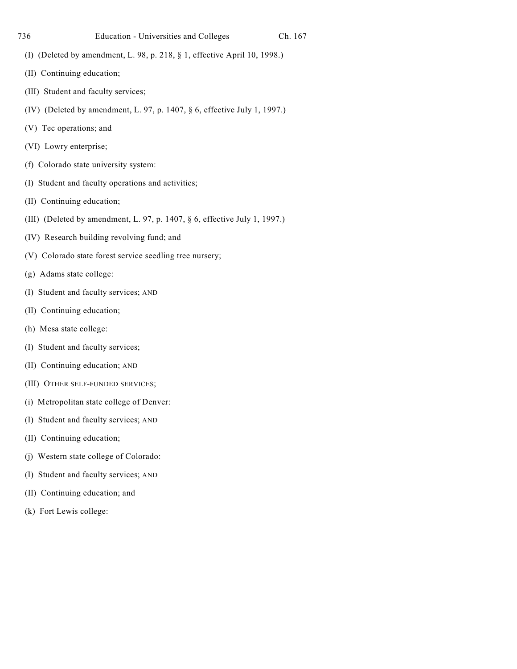- (I) (Deleted by amendment, L. 98, p. 218, § 1, effective April 10, 1998.)
- (II) Continuing education;
- (III) Student and faculty services;
- (IV) (Deleted by amendment, L. 97, p. 1407, § 6, effective July 1, 1997.)
- (V) Tec operations; and
- (VI) Lowry enterprise;
- (f) Colorado state university system:
- (I) Student and faculty operations and activities;
- (II) Continuing education;
- (III) (Deleted by amendment, L. 97, p. 1407, § 6, effective July 1, 1997.)
- (IV) Research building revolving fund; and
- (V) Colorado state forest service seedling tree nursery;
- (g) Adams state college:
- (I) Student and faculty services; AND
- (II) Continuing education;
- (h) Mesa state college:
- (I) Student and faculty services;
- (II) Continuing education; AND
- (III) OTHER SELF-FUNDED SERVICES;
- (i) Metropolitan state college of Denver:
- (I) Student and faculty services; AND
- (II) Continuing education;
- (j) Western state college of Colorado:
- (I) Student and faculty services; AND
- (II) Continuing education; and
- (k) Fort Lewis college: